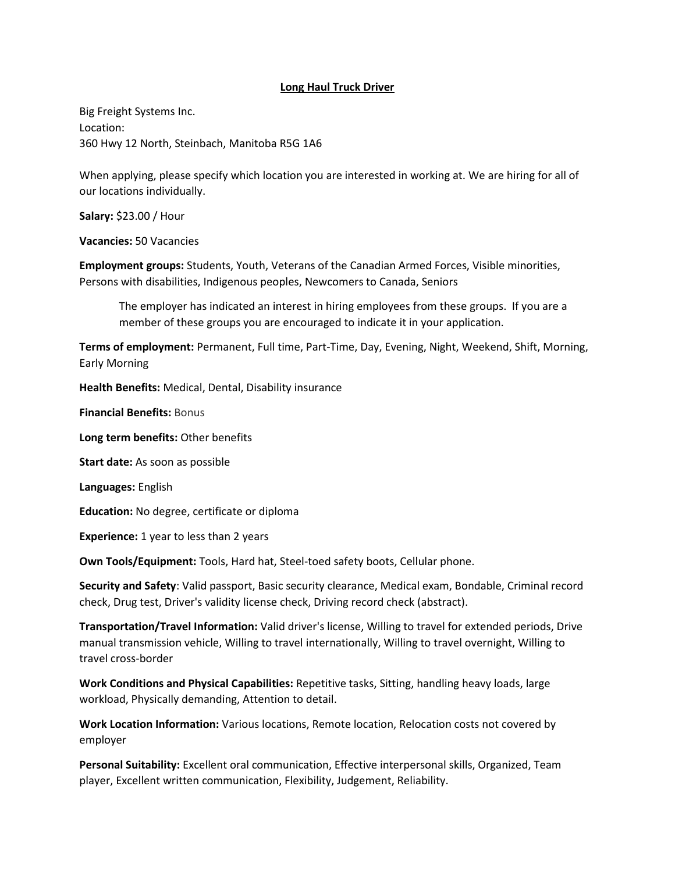## **Long Haul Truck Driver**

Big Freight Systems Inc. Location: 360 Hwy 12 North, Steinbach, Manitoba R5G 1A6

When applying, please specify which location you are interested in working at. We are hiring for all of our locations individually.

**Salary:** \$23.00 / Hour

**Vacancies:** 50 Vacancies

**Employment groups:** Students, Youth, Veterans of the Canadian Armed Forces, Visible minorities, Persons with disabilities, Indigenous peoples, Newcomers to Canada, Seniors

The employer has indicated an interest in hiring employees from these groups. If you are a member of these groups you are encouraged to indicate it in your application.

**Terms of employment:** Permanent, Full time, Part-Time, Day, Evening, Night, Weekend, Shift, Morning, Early Morning

**Health Benefits:** Medical, Dental, Disability insurance

**Financial Benefits:** Bonus

**Long term benefits:** Other benefits

**Start date:** As soon as possible

**Languages:** English

**Education:** No degree, certificate or diploma

**Experience:** 1 year to less than 2 years

**Own Tools/Equipment:** Tools, Hard hat, Steel-toed safety boots, Cellular phone.

**Security and Safety**: Valid passport, Basic security clearance, Medical exam, Bondable, Criminal record check, Drug test, Driver's validity license check, Driving record check (abstract).

**Transportation/Travel Information:** Valid driver's license, Willing to travel for extended periods, Drive manual transmission vehicle, Willing to travel internationally, Willing to travel overnight, Willing to travel cross-border

**Work Conditions and Physical Capabilities:** Repetitive tasks, Sitting, handling heavy loads, large workload, Physically demanding, Attention to detail.

**Work Location Information:** Various locations, Remote location, Relocation costs not covered by employer

**Personal Suitability:** Excellent oral communication, Effective interpersonal skills, Organized, Team player, Excellent written communication, Flexibility, Judgement, Reliability.